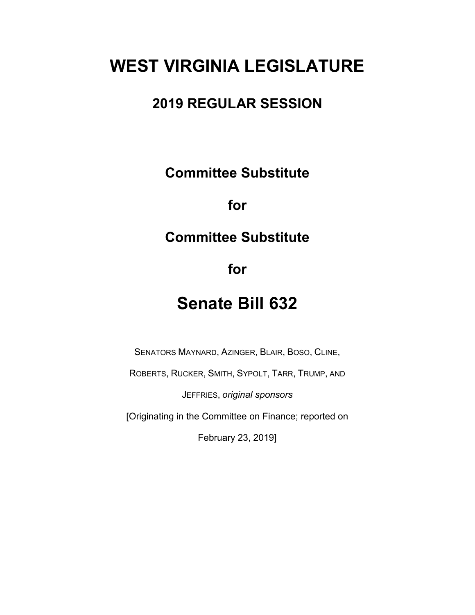# **WEST VIRGINIA LEGISLATURE**

## **2019 REGULAR SESSION**

**Committee Substitute**

**for**

## **Committee Substitute**

**for**

# **Senate Bill 632**

SENATORS MAYNARD, AZINGER, BLAIR, BOSO, CLINE,

ROBERTS, RUCKER, SMITH, SYPOLT, TARR, TRUMP, AND

JEFFRIES, *original sponsors*

[Originating in the Committee on Finance; reported on

February 23, 2019]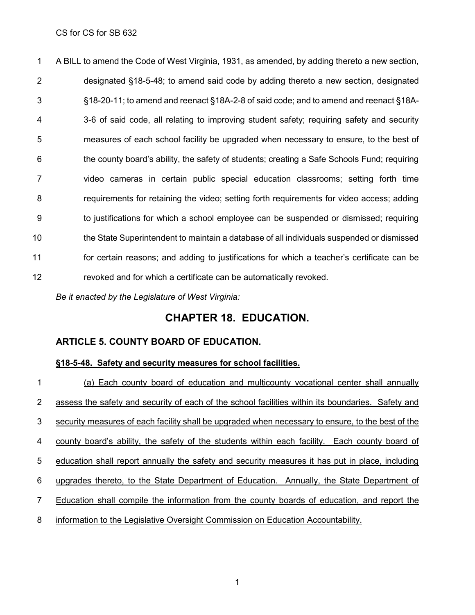A BILL to amend the Code of West Virginia, 1931, as amended, by adding thereto a new section, designated §18-5-48; to amend said code by adding thereto a new section, designated §18-20-11; to amend and reenact §18A-2-8 of said code; and to amend and reenact §18A- 3-6 of said code, all relating to improving student safety; requiring safety and security measures of each school facility be upgraded when necessary to ensure, to the best of the county board's ability, the safety of students; creating a Safe Schools Fund; requiring video cameras in certain public special education classrooms; setting forth time requirements for retaining the video; setting forth requirements for video access; adding to justifications for which a school employee can be suspended or dismissed; requiring the State Superintendent to maintain a database of all individuals suspended or dismissed for certain reasons; and adding to justifications for which a teacher's certificate can be revoked and for which a certificate can be automatically revoked.

*Be it enacted by the Legislature of West Virginia:*

### **CHAPTER 18. EDUCATION.**

#### **ARTICLE 5. COUNTY BOARD OF EDUCATION.**

#### **§18-5-48. Safety and security measures for school facilities.**

 (a) Each county board of education and multicounty vocational center shall annually assess the safety and security of each of the school facilities within its boundaries. Safety and security measures of each facility shall be upgraded when necessary to ensure, to the best of the county board's ability, the safety of the students within each facility. Each county board of education shall report annually the safety and security measures it has put in place, including upgrades thereto, to the State Department of Education. Annually, the State Department of Education shall compile the information from the county boards of education, and report the information to the Legislative Oversight Commission on Education Accountability.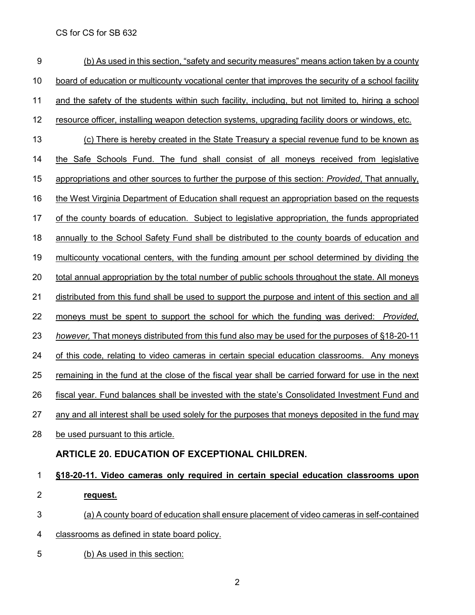| 9              | (b) As used in this section, "safety and security measures" means action taken by a county          |
|----------------|-----------------------------------------------------------------------------------------------------|
| 10             | board of education or multicounty vocational center that improves the security of a school facility |
| 11             | and the safety of the students within such facility, including, but not limited to, hiring a school |
| 12             | resource officer, installing weapon detection systems, upgrading facility doors or windows, etc.    |
| 13             | (c) There is hereby created in the State Treasury a special revenue fund to be known as             |
| 14             | the Safe Schools Fund. The fund shall consist of all moneys received from legislative               |
| 15             | appropriations and other sources to further the purpose of this section: Provided, That annually,   |
| 16             | the West Virginia Department of Education shall request an appropriation based on the requests      |
| 17             | of the county boards of education. Subject to legislative appropriation, the funds appropriated     |
| 18             | annually to the School Safety Fund shall be distributed to the county boards of education and       |
| 19             | multicounty vocational centers, with the funding amount per school determined by dividing the       |
| 20             | total annual appropriation by the total number of public schools throughout the state. All moneys   |
| 21             | distributed from this fund shall be used to support the purpose and intent of this section and all  |
| 22             | moneys must be spent to support the school for which the funding was derived: Provided,             |
| 23             | however, That moneys distributed from this fund also may be used for the purposes of §18-20-11      |
| 24             | of this code, relating to video cameras in certain special education classrooms. Any moneys         |
| 25             | remaining in the fund at the close of the fiscal year shall be carried forward for use in the next  |
| 26             | fiscal year. Fund balances shall be invested with the state's Consolidated Investment Fund and      |
| 27             | any and all interest shall be used solely for the purposes that moneys deposited in the fund may    |
| 28             | be used pursuant to this article.                                                                   |
|                | <b>ARTICLE 20. EDUCATION OF EXCEPTIONAL CHILDREN.</b>                                               |
| $\mathbf{1}$   | §18-20-11. Video cameras only required in certain special education classrooms upon                 |
| $\overline{2}$ | request.                                                                                            |
| 3              | (a) A county board of education shall ensure placement of video cameras in self-contained           |
| 4              | classrooms as defined in state board policy.                                                        |
| 5              | (b) As used in this section:                                                                        |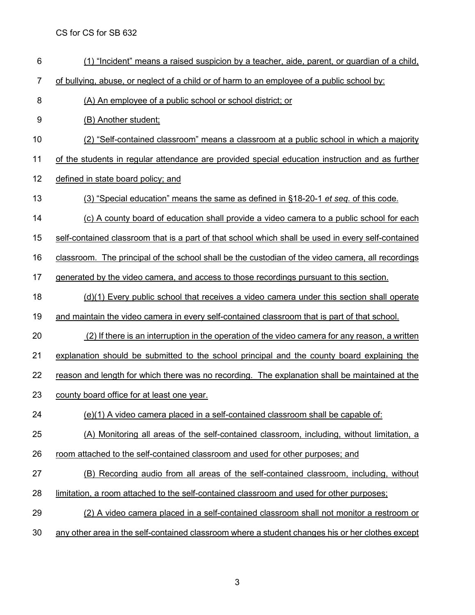(1) "Incident" means a raised suspicion by a teacher, aide, parent, or guardian of a child, 7 of bullying, abuse, or neglect of a child or of harm to an employee of a public school by: (A) An employee of a public school or school district; or (B) Another student; (2) "Self-contained classroom" means a classroom at a public school in which a majority of the students in regular attendance are provided special education instruction and as further 12 defined in state board policy; and (3) "Special education" means the same as defined in [§18-20-1](http://www.wvlegislature.gov/wvcode/chapterentire.cfm?chap=18&art=20§ion=1#01) *et seq.* of this code. (c) A county board of education shall provide a video camera to a public school for each self-contained classroom that is a part of that school which shall be used in every self-contained classroom. The principal of the school shall be the custodian of the video camera, all recordings 17 generated by the video camera, and access to those recordings pursuant to this section. (d)(1) Every public school that receives a video camera under this section shall operate and maintain the video camera in every self-contained classroom that is part of that school. 20 (2) If there is an interruption in the operation of the video camera for any reason, a written explanation should be submitted to the school principal and the county board explaining the 22 reason and length for which there was no recording. The explanation shall be maintained at the county board office for at least one year. (e)(1) A video camera placed in a self-contained classroom shall be capable of: (A) Monitoring all areas of the self-contained classroom, including, without limitation, a room attached to the self-contained classroom and used for other purposes; and (B) Recording audio from all areas of the self-contained classroom, including, without limitation, a room attached to the self-contained classroom and used for other purposes; (2) A video camera placed in a self-contained classroom shall not monitor a restroom or any other area in the self-contained classroom where a student changes his or her clothes except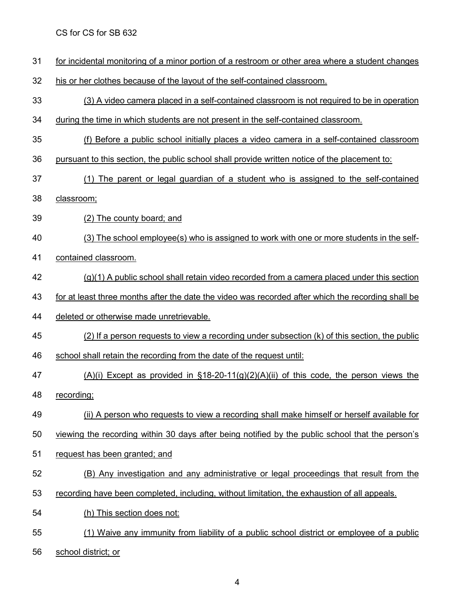- for incidental monitoring of a minor portion of a restroom or other area where a student changes
- his or her clothes because of the layout of the self-contained classroom.

(3) A video camera placed in a self-contained classroom is not required to be in operation

- during the time in which students are not present in the self-contained classroom.
- (f) Before a public school initially places a video camera in a self-contained classroom
- pursuant to this section, the public school shall provide written notice of the placement to:
- (1) The parent or legal guardian of a student who is assigned to the self-contained
- classroom;
- (2) The county board; and
- (3) The school employee(s) who is assigned to work with one or more students in the self-
- contained classroom.
- (g)(1) A public school shall retain video recorded from a camera placed under this section
- for at least three months after the date the video was recorded after which the recording shall be
- deleted or otherwise made unretrievable.
- (2) If a person requests to view a recording under subsection (k) of this section, the public
- school shall retain the recording from the date of the request until:
- (A)(i) Except as provided in §18-20-11(g)(2)(A)(ii) of this code, the person views the recording;
- (ii) A person who requests to view a recording shall make himself or herself available for
- viewing the recording within 30 days after being notified by the public school that the person's
- request has been granted; and
- (B) Any investigation and any administrative or legal proceedings that result from the
- recording have been completed, including, without limitation, the exhaustion of all appeals.
- (h) This section does not:
- (1) Waive any immunity from liability of a public school district or employee of a public
- school district; or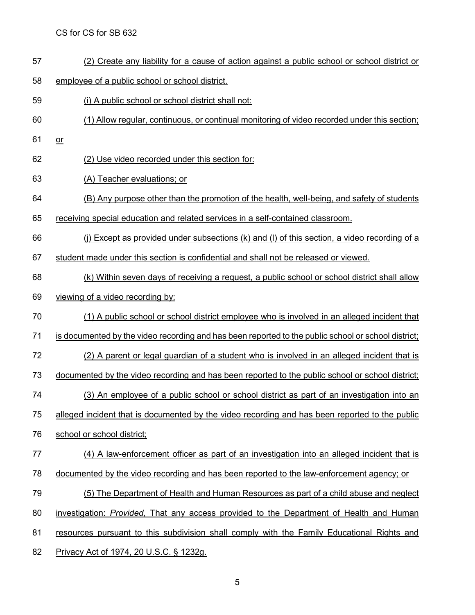- (2) Create any liability for a cause of action against a public school or school district or
- employee of a public school or school district.
- (i) A public school or school district shall not:
- (1) Allow regular, continuous, or continual monitoring of video recorded under this section;
- or
- (2) Use video recorded under this section for:
- (A) Teacher evaluations; or
- (B) Any purpose other than the promotion of the health, well-being, and safety of students
- receiving special education and related services in a self-contained classroom.
- (j) Except as provided under subsections (k) and (l) of this section, a video recording of a
- student made under this section is confidential and shall not be released or viewed.
- (k) Within seven days of receiving a request, a public school or school district shall allow
- viewing of a video recording by:
- (1) A public school or school district employee who is involved in an alleged incident that
- 71 is documented by the video recording and has been reported to the public school or school district;
- (2) A parent or legal guardian of a student who is involved in an alleged incident that is
- 73 documented by the video recording and has been reported to the public school or school district;
- (3) An employee of a public school or school district as part of an investigation into an
- alleged incident that is documented by the video recording and has been reported to the public
- school or school district;
- (4) A law-enforcement officer as part of an investigation into an alleged incident that is
- documented by the video recording and has been reported to the law-enforcement agency; or
- (5) The Department of Health and Human Resources as part of a child abuse and neglect
- investigation: *Provided,* That any access provided to the Department of Health and Human
- 81 resources pursuant to this subdivision shall comply with the Family Educational Rights and
- Privacy Act of 1974, 20 U.S.C. § 1232g.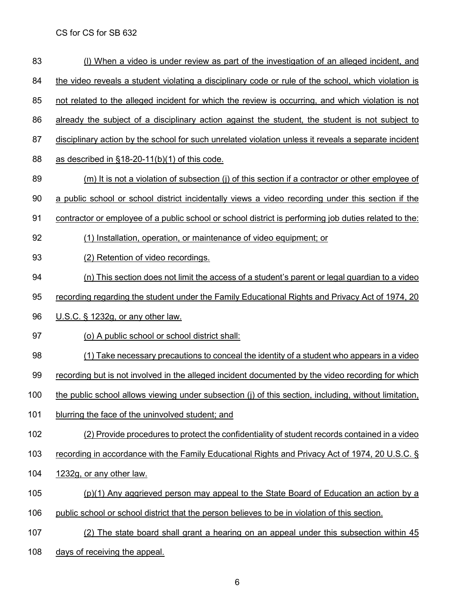83 (I) When a video is under review as part of the investigation of an alleged incident, and 84 the video reveals a student violating a disciplinary code or rule of the school, which violation is not related to the alleged incident for which the review is occurring, and which violation is not already the subject of a disciplinary action against the student, the student is not subject to 87 disciplinary action by the school for such unrelated violation unless it reveals a separate incident as described in §18-20-11(b)(1) of this code. 89 (m) It is not a violation of subsection (j) of this section if a contractor or other employee of a public school or school district incidentally views a video recording under this section if the contractor or employee of a public school or school district is performing job duties related to the: (1) Installation, operation, or maintenance of video equipment; or (2) Retention of video recordings. (n) This section does not limit the access of a student's parent or legal guardian to a video recording regarding the student under the Family Educational Rights and Privacy Act of 1974, 20 U.S.C. § 1232g, or any other law. (o) A public school or school district shall: (1) Take necessary precautions to conceal the identity of a student who appears in a video 99 recording but is not involved in the alleged incident documented by the video recording for which 100 the public school allows viewing under subsection (j) of this section, including, without limitation, blurring the face of the uninvolved student; and (2) Provide procedures to protect the confidentiality of student records contained in a video recording in accordance with the Family Educational Rights and Privacy Act of 1974, 20 U.S.C. § 1232g, or any other law. (p)(1) Any aggrieved person may appeal to the State Board of Education an action by a public school or school district that the person believes to be in violation of this section. 107 (2) The state board shall grant a hearing on an appeal under this subsection within 45 108 days of receiving the appeal.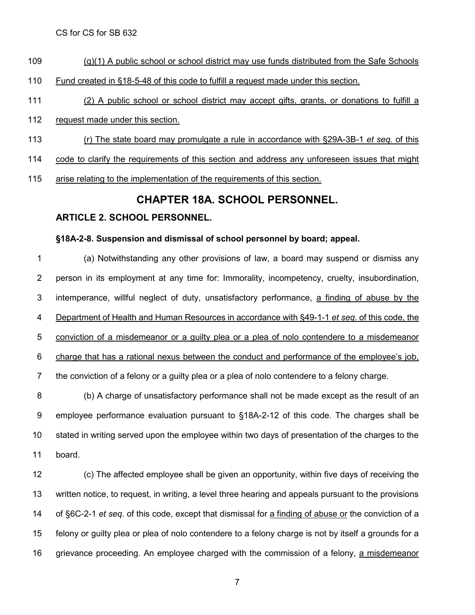- (q)(1) A public school or school district may use funds distributed from the Safe Schools
- Fund created in §18-5-48 of this code to fulfill a request made under this section.
- (2) A public school or school district may accept gifts, grants, or donations to fulfill a
- request made under this section.
- (r) The state board may promulgate a rule in accordance with §29A-3B-1 *et seq.* of this
- code to clarify the requirements of this section and address any unforeseen issues that might
- 115 arise relating to the implementation of the requirements of this section.

### **CHAPTER 18A. SCHOOL PERSONNEL.**

#### **ARTICLE 2. SCHOOL PERSONNEL.**

#### **§18A-2-8. Suspension and dismissal of school personnel by board; appeal.**

 (a) Notwithstanding any other provisions of law, a board may suspend or dismiss any person in its employment at any time for: Immorality, incompetency, cruelty, insubordination, 3 intemperance, willful neglect of duty, unsatisfactory performance, a finding of abuse by the Department of Health and Human Resources in accordance with §49-1-1 *et seq*. of this code, the conviction of a misdemeanor or a guilty plea or a plea of nolo contendere to a misdemeanor charge that has a rational nexus between the conduct and performance of the employee's job, the conviction of a felony or a guilty plea or a plea of nolo contendere to a felony charge.

 (b) A charge of unsatisfactory performance shall not be made except as the result of an employee performance evaluation pursuant to §18A-2-12 of this code. The charges shall be stated in writing served upon the employee within two days of presentation of the charges to the board.

 (c) The affected employee shall be given an opportunity, within five days of receiving the written notice, to request, in writing, a level three hearing and appeals pursuant to the provisions of §6C-2-1 *et seq*. of this code, except that dismissal for a finding of abuse or the conviction of a felony or guilty plea or plea of nolo contendere to a felony charge is not by itself a grounds for a grievance proceeding. An employee charged with the commission of a felony, a misdemeanor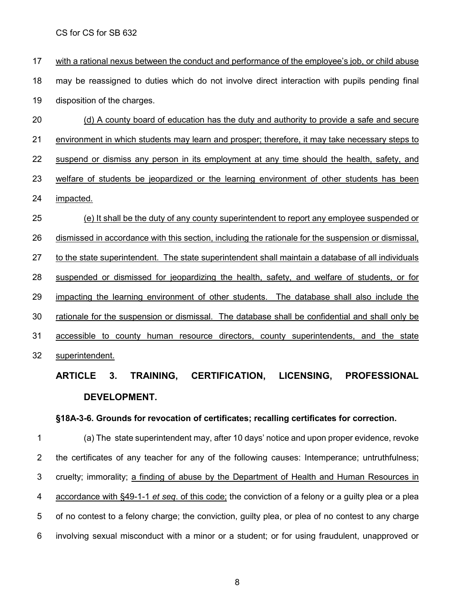with a rational nexus between the conduct and performance of the employee's job, or child abuse may be reassigned to duties which do not involve direct interaction with pupils pending final disposition of the charges.

 (d) A county board of education has the duty and authority to provide a safe and secure environment in which students may learn and prosper; therefore, it may take necessary steps to suspend or dismiss any person in its employment at any time should the health, safety, and 23 welfare of students be jeopardized or the learning environment of other students has been impacted. (e) It shall be the duty of any county superintendent to report any employee suspended or

 dismissed in accordance with this section, including the rationale for the suspension or dismissal, to the state superintendent. The state superintendent shall maintain a database of all individuals suspended or dismissed for jeopardizing the health, safety, and welfare of students, or for impacting the learning environment of other students. The database shall also include the rationale for the suspension or dismissal. The database shall be confidential and shall only be accessible to county human resource directors, county superintendents, and the state superintendent.

## **ARTICLE 3. TRAINING, CERTIFICATION, LICENSING, PROFESSIONAL DEVELOPMENT.**

#### **§18A-3-6. Grounds for revocation of certificates; recalling certificates for correction.**

 (a) The state superintendent may, after 10 days' notice and upon proper evidence, revoke the certificates of any teacher for any of the following causes: Intemperance; untruthfulness; 3 cruelty; immorality; a finding of abuse by the Department of Health and Human Resources in accordance with §49-1-1 *et seq*. of this code; the conviction of a felony or a guilty plea or a plea of no contest to a felony charge; the conviction, guilty plea, or plea of no contest to any charge involving sexual misconduct with a minor or a student; or for using fraudulent, unapproved or